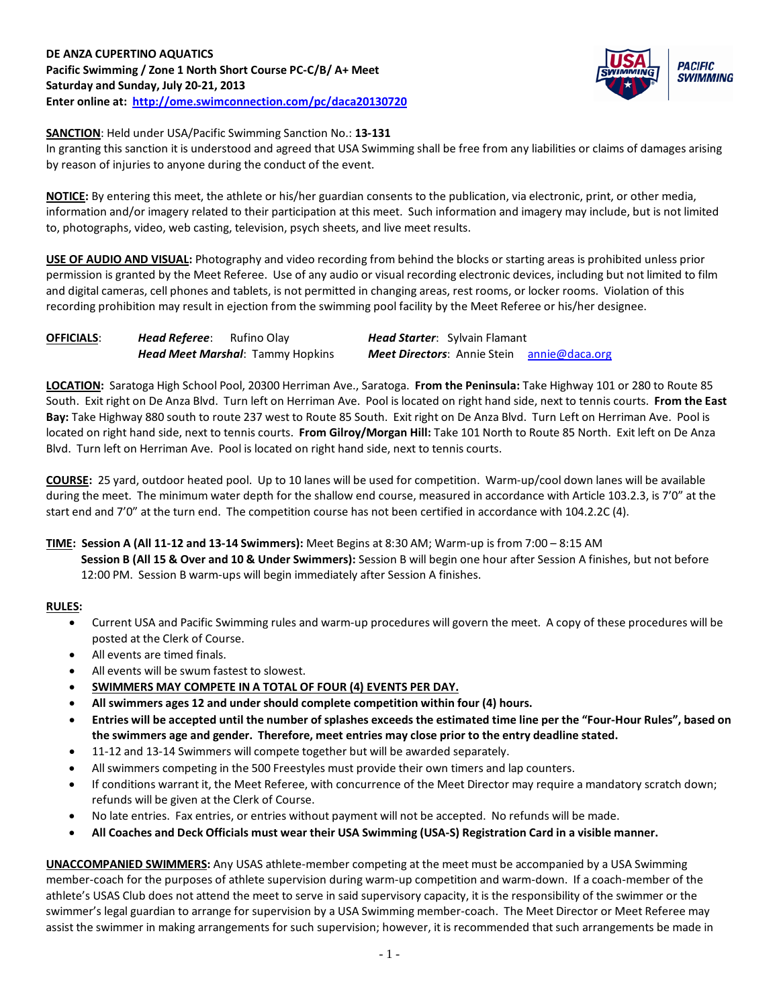

**SANCTION**: Held under USA/Pacific Swimming Sanction No.: **13-131**

In granting this sanction it is understood and agreed that USA Swimming shall be free from any liabilities or claims of damages arising by reason of injuries to anyone during the conduct of the event.

**NOTICE:** By entering this meet, the athlete or his/her guardian consents to the publication, via electronic, print, or other media, information and/or imagery related to their participation at this meet. Such information and imagery may include, but is not limited to, photographs, video, web casting, television, psych sheets, and live meet results.

**USE OF AUDIO AND VISUAL:** Photography and video recording from behind the blocks or starting areas is prohibited unless prior permission is granted by the Meet Referee. Use of any audio or visual recording electronic devices, including but not limited to film and digital cameras, cell phones and tablets, is not permitted in changing areas, rest rooms, or locker rooms. Violation of this recording prohibition may result in ejection from the swimming pool facility by the Meet Referee or his/her designee.

| <b>OFFICIALS:</b> | <b>Head Referee:</b> Rufino Olay |                                         | <b>Head Starter:</b> Sylvain Flamant              |  |  |  |  |
|-------------------|----------------------------------|-----------------------------------------|---------------------------------------------------|--|--|--|--|
|                   |                                  | <b>Head Meet Marshal: Tammy Hopkins</b> | <b>Meet Directors:</b> Annie Stein annie@daca.org |  |  |  |  |

**LOCATION:** Saratoga High School Pool, 20300 Herriman Ave., Saratoga. **From the Peninsula:** Take Highway 101 or 280 to Route 85 South. Exit right on De Anza Blvd. Turn left on Herriman Ave. Pool is located on right hand side, next to tennis courts. **From the East Bay:** Take Highway 880 south to route 237 west to Route 85 South. Exit right on De Anza Blvd. Turn Left on Herriman Ave. Pool is located on right hand side, next to tennis courts. **From Gilroy/Morgan Hill:** Take 101 North to Route 85 North. Exit left on De Anza Blvd. Turn left on Herriman Ave. Pool is located on right hand side, next to tennis courts.

**COURSE:** 25 yard, outdoor heated pool. Up to 10 lanes will be used for competition. Warm-up/cool down lanes will be available during the meet. The minimum water depth for the shallow end course, measured in accordance with Article 103.2.3, is 7'0" at the start end and 7'0" at the turn end. The competition course has not been certified in accordance with 104.2.2C (4).

#### **TIME: Session A (All 11-12 and 13-14 Swimmers):** Meet Begins at 8:30 AM; Warm-up is from 7:00 – 8:15 AM **Session B (All 15 & Over and 10 & Under Swimmers):** Session B will begin one hour after Session A finishes, but not before 12:00 PM. Session B warm-ups will begin immediately after Session A finishes.

# **RULES:**

- Current USA and Pacific Swimming rules and warm-up procedures will govern the meet. A copy of these procedures will be posted at the Clerk of Course.
- All events are timed finals.
- All events will be swum fastest to slowest.
- **SWIMMERS MAY COMPETE IN A TOTAL OF FOUR (4) EVENTS PER DAY.**
- **All swimmers ages 12 and under should complete competition within four (4) hours.**
- **Entries will be accepted until the number of splashes exceeds the estimated time line per the "Four-Hour Rules", based on the swimmers age and gender. Therefore, meet entries may close prior to the entry deadline stated.**
- 11-12 and 13-14 Swimmers will compete together but will be awarded separately.
- All swimmers competing in the 500 Freestyles must provide their own timers and lap counters.
- If conditions warrant it, the Meet Referee, with concurrence of the Meet Director may require a mandatory scratch down; refunds will be given at the Clerk of Course.
- No late entries. Fax entries, or entries without payment will not be accepted. No refunds will be made.
- **All Coaches and Deck Officials must wear their USA Swimming (USA-S) Registration Card in a visible manner.**

**UNACCOMPANIED SWIMMERS:** Any USAS athlete-member competing at the meet must be accompanied by a USA Swimming member-coach for the purposes of athlete supervision during warm-up competition and warm-down. If a coach-member of the athlete's USAS Club does not attend the meet to serve in said supervisory capacity, it is the responsibility of the swimmer or the swimmer's legal guardian to arrange for supervision by a USA Swimming member-coach. The Meet Director or Meet Referee may assist the swimmer in making arrangements for such supervision; however, it is recommended that such arrangements be made in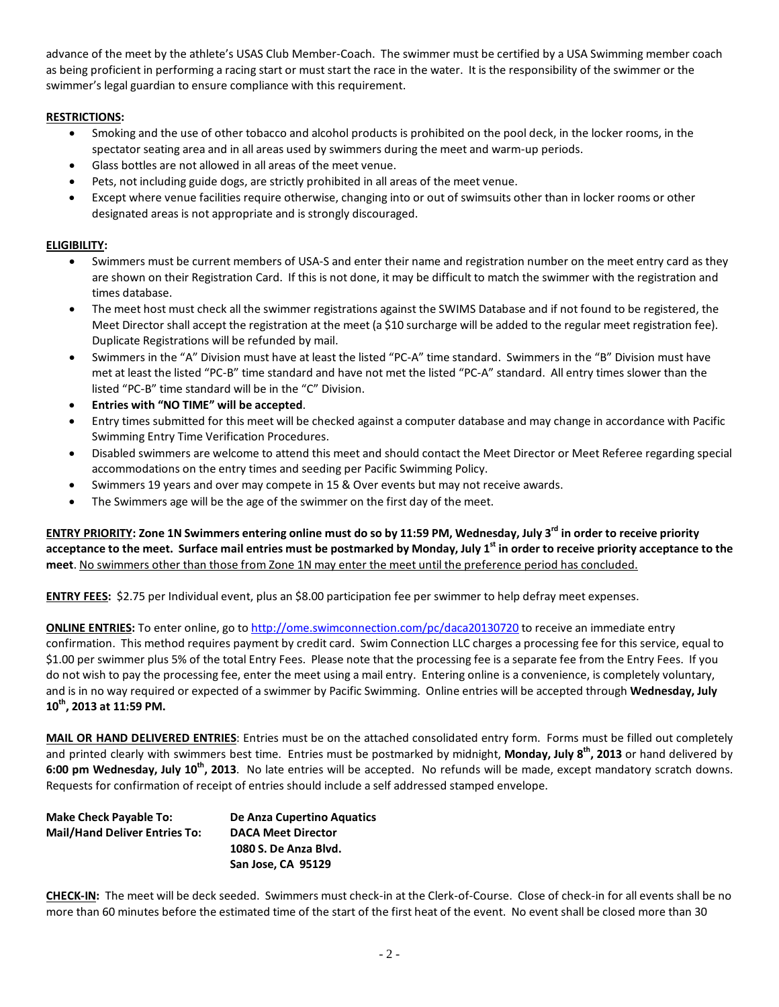advance of the meet by the athlete's USAS Club Member-Coach. The swimmer must be certified by a USA Swimming member coach as being proficient in performing a racing start or must start the race in the water. It is the responsibility of the swimmer or the swimmer's legal guardian to ensure compliance with this requirement.

### **RESTRICTIONS:**

- Smoking and the use of other tobacco and alcohol products is prohibited on the pool deck, in the locker rooms, in the spectator seating area and in all areas used by swimmers during the meet and warm-up periods.
- Glass bottles are not allowed in all areas of the meet venue.
- Pets, not including guide dogs, are strictly prohibited in all areas of the meet venue.
- Except where venue facilities require otherwise, changing into or out of swimsuits other than in locker rooms or other designated areas is not appropriate and is strongly discouraged.

#### **ELIGIBILITY:**

- Swimmers must be current members of USA-S and enter their name and registration number on the meet entry card as they are shown on their Registration Card. If this is not done, it may be difficult to match the swimmer with the registration and times database.
- The meet host must check all the swimmer registrations against the SWIMS Database and if not found to be registered, the Meet Director shall accept the registration at the meet (a \$10 surcharge will be added to the regular meet registration fee). Duplicate Registrations will be refunded by mail.
- Swimmers in the "A" Division must have at least the listed "PC-A" time standard. Swimmers in the "B" Division must have met at least the listed "PC-B" time standard and have not met the listed "PC-A" standard. All entry times slower than the listed "PC-B" time standard will be in the "C" Division.
- **Entries with "NO TIME" will be accepted**.
- Entry times submitted for this meet will be checked against a computer database and may change in accordance with Pacific Swimming Entry Time Verification Procedures.
- Disabled swimmers are welcome to attend this meet and should contact the Meet Director or Meet Referee regarding special accommodations on the entry times and seeding per Pacific Swimming Policy.
- Swimmers 19 years and over may compete in 15 & Over events but may not receive awards.
- The Swimmers age will be the age of the swimmer on the first day of the meet.

ENTRY PRIORITY: Zone 1N Swimmers entering online must do so by 11:59 PM, Wednesday, July 3<sup>rd</sup> in order to receive priority **acceptance to the meet. Surface mail entries must be postmarked by Monday, July 1st in order to receive priority acceptance to the meet**. No swimmers other than those from Zone 1N may enter the meet until the preference period has concluded.

**ENTRY FEES:** \$2.75 per Individual event, plus an \$8.00 participation fee per swimmer to help defray meet expenses.

**ONLINE ENTRIES:** To enter online, go t[o http://ome.swimconnection.com/pc/daca20130720](http://ome.swimconnection.com/pc/daca20130720) to receive an immediate entry confirmation. This method requires payment by credit card. Swim Connection LLC charges a processing fee for this service, equal to \$1.00 per swimmer plus 5% of the total Entry Fees. Please note that the processing fee is a separate fee from the Entry Fees. If you do not wish to pay the processing fee, enter the meet using a mail entry. Entering online is a convenience, is completely voluntary, and is in no way required or expected of a swimmer by Pacific Swimming. Online entries will be accepted through **Wednesday, July 10th, 2013 at 11:59 PM.**

**MAIL OR HAND DELIVERED ENTRIES**: Entries must be on the attached consolidated entry form. Forms must be filled out completely and printed clearly with swimmers best time. Entries must be postmarked by midnight, **Monday, July 8th, 2013** or hand delivered by **6:00 pm Wednesday, July 10th, 2013**. No late entries will be accepted. No refunds will be made, except mandatory scratch downs. Requests for confirmation of receipt of entries should include a self addressed stamped envelope.

| <b>Make Check Payable To:</b>        | De Anza Cupertino Aquatics |  |  |
|--------------------------------------|----------------------------|--|--|
| <b>Mail/Hand Deliver Entries To:</b> | <b>DACA Meet Director</b>  |  |  |
|                                      | 1080 S. De Anza Blvd.      |  |  |
|                                      | San Jose, CA 95129         |  |  |

**CHECK-IN:** The meet will be deck seeded. Swimmers must check-in at the Clerk-of-Course. Close of check-in for all events shall be no more than 60 minutes before the estimated time of the start of the first heat of the event. No event shall be closed more than 30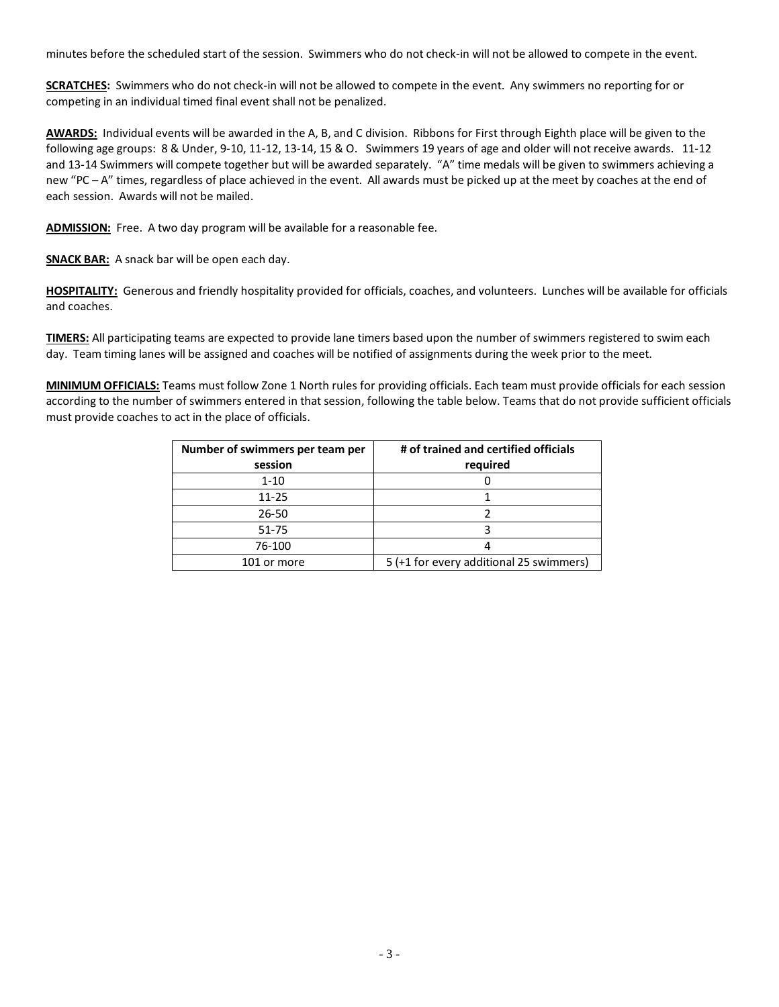minutes before the scheduled start of the session. Swimmers who do not check-in will not be allowed to compete in the event.

**SCRATCHES:** Swimmers who do not check-in will not be allowed to compete in the event. Any swimmers no reporting for or competing in an individual timed final event shall not be penalized.

**AWARDS:** Individual events will be awarded in the A, B, and C division. Ribbons for First through Eighth place will be given to the following age groups: 8 & Under, 9-10, 11-12, 13-14, 15 & O. Swimmers 19 years of age and older will not receive awards. 11-12 and 13-14 Swimmers will compete together but will be awarded separately. "A" time medals will be given to swimmers achieving a new "PC – A" times, regardless of place achieved in the event. All awards must be picked up at the meet by coaches at the end of each session. Awards will not be mailed.

**ADMISSION:** Free. A two day program will be available for a reasonable fee.

**SNACK BAR:** A snack bar will be open each day.

**HOSPITALITY:** Generous and friendly hospitality provided for officials, coaches, and volunteers. Lunches will be available for officials and coaches.

**TIMERS:** All participating teams are expected to provide lane timers based upon the number of swimmers registered to swim each day. Team timing lanes will be assigned and coaches will be notified of assignments during the week prior to the meet.

**MINIMUM OFFICIALS:** Teams must follow Zone 1 North rules for providing officials. Each team must provide officials for each session according to the number of swimmers entered in that session, following the table below. Teams that do not provide sufficient officials must provide coaches to act in the place of officials.

| Number of swimmers per team per | # of trained and certified officials    |  |  |  |
|---------------------------------|-----------------------------------------|--|--|--|
| session                         | required                                |  |  |  |
| $1 - 10$                        |                                         |  |  |  |
| $11 - 25$                       |                                         |  |  |  |
| 26-50                           |                                         |  |  |  |
| 51-75                           |                                         |  |  |  |
| 76-100                          |                                         |  |  |  |
| 101 or more                     | 5 (+1 for every additional 25 swimmers) |  |  |  |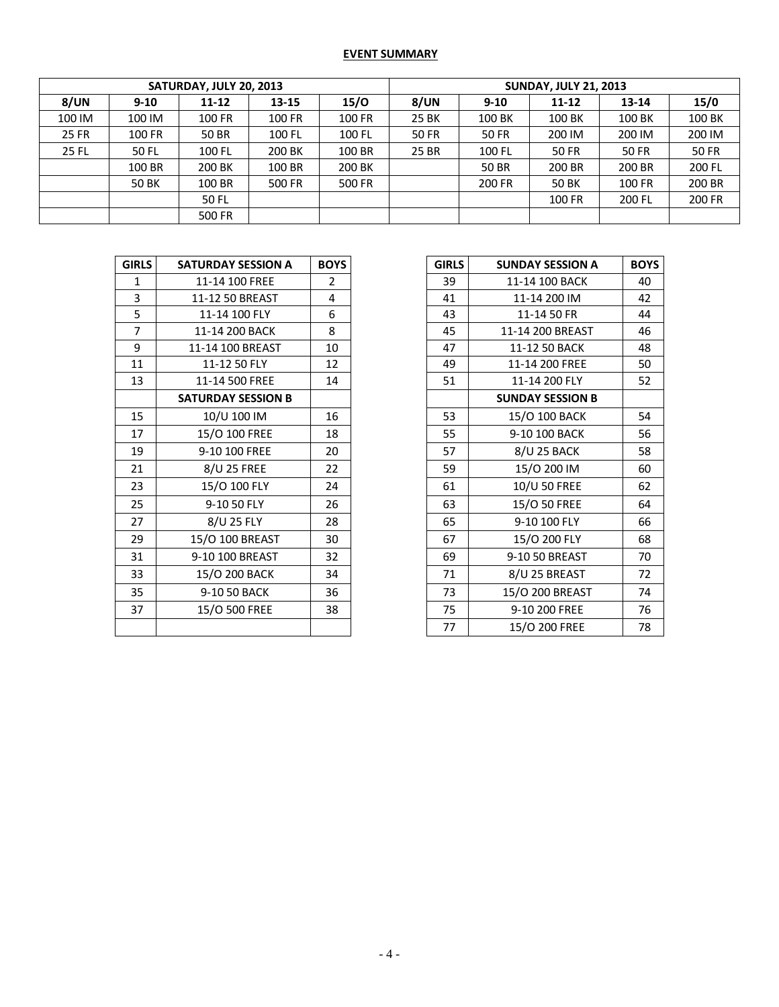## **EVENT SUMMARY**

| SATURDAY, JULY 20, 2013 |              |           |           | <b>SUNDAY, JULY 21, 2013</b> |              |              |              |              |        |
|-------------------------|--------------|-----------|-----------|------------------------------|--------------|--------------|--------------|--------------|--------|
| 8/UN                    | $9 - 10$     | $11 - 12$ | $13 - 15$ | 15/O                         | 8/UN         | $9 - 10$     | $11 - 12$    | 13-14        | 15/0   |
| 100 IM                  | 100 IM       | 100 FR    | 100 FR    | 100 FR                       | 25 BK        | 100 BK       | 100 BK       | 100 BK       | 100 BK |
| 25 FR                   | 100 FR       | 50 BR     | 100 FL    | 100 FL                       | <b>50 FR</b> | <b>50 FR</b> | 200 IM       | 200 IM       | 200 IM |
| 25 FL                   | 50 FL        | 100 FL    | 200 BK    | 100 BR                       | 25 BR        | 100 FL       | <b>50 FR</b> | <b>50 FR</b> | 50 FR  |
|                         | 100 BR       | 200 BK    | 100 BR    | 200 BK                       |              | 50 BR        | 200 BR       | 200 BR       | 200 FL |
|                         | <b>50 BK</b> | 100 BR    | 500 FR    | 500 FR                       |              | 200 FR       | <b>50 BK</b> | 100 FR       | 200 BR |
|                         |              | 50 FL     |           |                              |              |              | 100 FR       | 200 FL       | 200 FR |
|                         |              | 500 FR    |           |                              |              |              |              |              |        |

| <b>GIRLS</b> | <b>SATURDAY SESSION A</b> | <b>BOYS</b>    | <b>GIRLS</b> | <b>SUNDAY SESSION A</b> |
|--------------|---------------------------|----------------|--------------|-------------------------|
| $\mathbf{1}$ | 11-14 100 FREE            | $\overline{2}$ | 39           | 11-14 100 BACK          |
| 3            | 11-12 50 BREAST           | 4              | 41           | 11-14 200 IM            |
| 5            | 11-14 100 FLY             | 6              | 43           | 11-14 50 FR             |
| 7            | 11-14 200 BACK            | 8              | 45           | 11-14 200 BREAST        |
| 9            | 11-14 100 BREAST          | 10             | 47           | 11-12 50 BACK           |
| 11           | 11-12 50 FLY              | 12             | 49           | 11-14 200 FREE          |
| 13           | 11-14 500 FREE            | 14             | 51           | 11-14 200 FLY           |
|              | <b>SATURDAY SESSION B</b> |                |              | <b>SUNDAY SESSION B</b> |
| 15           | 10/U 100 IM               | 16             | 53           | 15/O 100 BACK           |
| 17           | 15/O 100 FREE             | 18             | 55           | 9-10 100 BACK           |
| 19           | 9-10 100 FREE             | 20             | 57           | 8/U 25 BACK             |
| 21           | 8/U 25 FREE               | 22             | 59           | 15/0 200 IM             |
| 23           | 15/O 100 FLY              | 24             | 61           | 10/U 50 FREE            |
| 25           | 9-10 50 FLY               | 26             | 63           | 15/O 50 FREE            |
| 27           | 8/U 25 FLY                | 28             | 65           | 9-10 100 FLY            |
| 29           | 15/O 100 BREAST           | 30             | 67           | 15/O 200 FLY            |
| 31           | 9-10 100 BREAST           | 32             | 69           | 9-10 50 BREAST          |
| 33           | 15/O 200 BACK             | 34             | 71           | 8/U 25 BREAST           |
| 35           | 9-10 50 BACK              | 36             | 73           | 15/O 200 BREAST         |
| 37           | 15/O 500 FREE             | 38             | 75           | 9-10 200 FREE           |
|              |                           |                | 77           | 15/O 200 FREE           |

| <b>GIRLS</b>   | <b>SATURDAY SESSION A</b> | <b>BOYS</b>    | <b>GIRLS</b> | <b>SUNDAY SESSION A</b> | <b>BOYS</b> |
|----------------|---------------------------|----------------|--------------|-------------------------|-------------|
| $\mathbf{1}$   | 11-14 100 FREE            | $\overline{2}$ | 39           | 11-14 100 BACK          | 40          |
| 3              | 11-12 50 BREAST           | 4              | 41           | 11-14 200 IM            | 42          |
| 5              | 11-14 100 FLY             | 6              | 43           | 11-14 50 FR             | 44          |
| $\overline{7}$ | 11-14 200 BACK            | 8              | 45           | 11-14 200 BREAST        | 46          |
| 9              | 11-14 100 BREAST          | 10             | 47           | 11-12 50 BACK           | 48          |
| 11             | 11-12 50 FLY              | 12             | 49           | 11-14 200 FREE          | 50          |
| 13             | 11-14 500 FREE            | 14             | 51           | 11-14 200 FLY           | 52          |
|                | <b>SATURDAY SESSION B</b> |                |              | <b>SUNDAY SESSION B</b> |             |
| 15             | 10/U 100 IM               | 16             | 53           | 15/O 100 BACK           | 54          |
| 17             | 15/O 100 FREE             | 18             | 55           | 9-10 100 BACK           | 56          |
| 19             | 9-10 100 FREE             | 20             | 57           | 8/U 25 BACK             | 58          |
| 21             | 8/U 25 FREE               | 22             | 59           | 15/0 200 IM             | 60          |
| 23             | 15/O 100 FLY              | 24             | 61           | 10/U 50 FREE            | 62          |
| 25             | 9-10 50 FLY               | 26             | 63           | 15/O 50 FREE            | 64          |
| 27             | 8/U 25 FLY                | 28             | 65           | 9-10 100 FLY            | 66          |
| 29             | 15/O 100 BREAST           | 30             | 67           | 15/O 200 FLY            | 68          |
| 31             | 9-10 100 BREAST           | 32             | 69           | 9-10 50 BREAST          | 70          |
| 33             | 15/O 200 BACK             | 34             | 71           | 8/U 25 BREAST           | 72          |
| 35             | 9-10 50 BACK              | 36             | 73           | 15/O 200 BREAST         | 74          |
| 37             | 15/O 500 FREE             | 38             | 75           | 9-10 200 FREE           | 76          |
|                |                           |                | 77           | 15/O 200 FREE           | 78          |